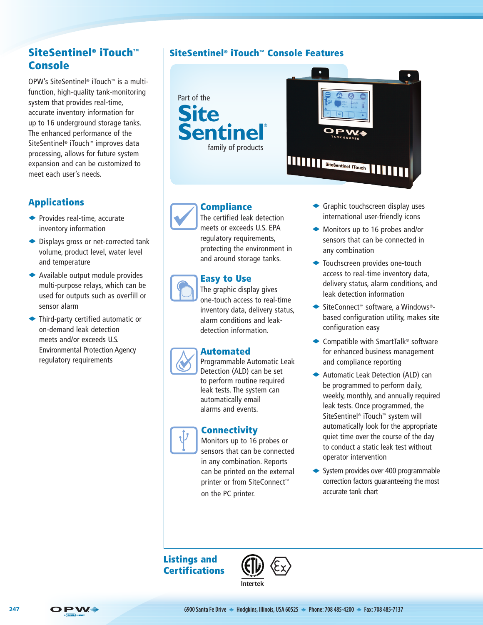# SiteSentinel® iTouch™ Console

OPW's SiteSentinel® iTouch™ is a multifunction, high-quality tank-monitoring system that provides real-time, accurate inventory information for up to 16 underground storage tanks. The enhanced performance of the SiteSentinel® iTouch™ improves data processing, allows for future system expansion and can be customized to meet each user's needs.

# Applications

- $\blacktriangleright$  Provides real-time, accurate inventory information
- $\blacktriangleright$  Displays gross or net-corrected tank volume, product level, water level and temperature
- $\blacklozenge$  Available output module provides multi-purpose relays, which can be used for outputs such as overfill or sensor alarm
- ◆ Third-party certified automatic or on-demand leak detection meets and/or exceeds U.S. Environmental Protection Agency regulatory requirements

# SiteSentinel® iTouch™ Console Features





# **Compliance**

The certified leak detection meets or exceeds U.S. EPA regulatory requirements, protecting the environment in and around storage tanks.

### Easy to Use

The graphic display gives one-touch access to real-time inventory data, delivery status, alarm conditions and leakdetection information.

## Automated

Programmable Automatic Leak Detection (ALD) can be set to perform routine required leak tests. The system can automatically email alarms and events.

## **Connectivity**



Monitors up to 16 probes or sensors that can be connected in any combination. Reports can be printed on the external printer or from SiteConnect™ on the PC printer.

- $\blacktriangleright$  Graphic touchscreen display uses international user-friendly icons
- $\blacklozenge$  Monitors up to 16 probes and/or sensors that can be connected in any combination
- ◆ Touchscreen provides one-touch access to real-time inventory data, delivery status, alarm conditions, and leak detection information
- ◆ SiteConnect™ software, a Windows®based configuration utility, makes site configuration easy
- $\triangle$  Compatible with SmartTalk® software for enhanced business management and compliance reporting
- ◆ Automatic Leak Detection (ALD) can be programmed to perform daily, weekly, monthly, and annually required leak tests. Once programmed, the SiteSentinel® iTouch™ system will automatically look for the appropriate quiet time over the course of the day to conduct a static leak test without operator intervention
- $\leftrightarrow$  System provides over 400 programmable correction factors guaranteeing the most accurate tank chart

# Listings and **Certifications**